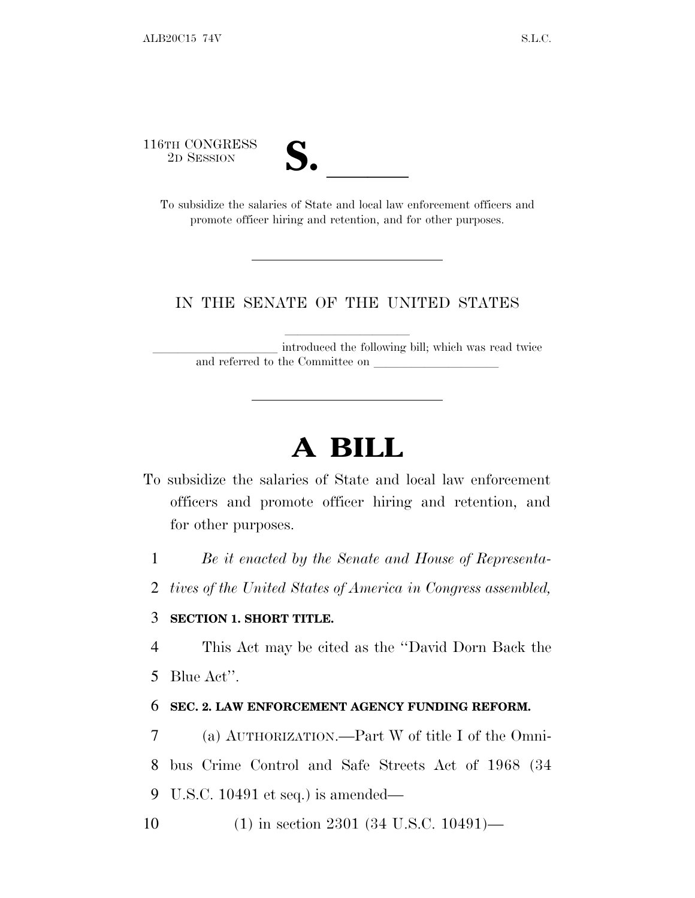116TH CONGRESS



FORGRESS 2D SESSION<br>To subsidize the salaries of State and local law enforcement officers and promote officer hiring and retention, and for other purposes.

## IN THE SENATE OF THE UNITED STATES

introduced the following bill; which was read twice and referred to the Committee on

## **A BILL**

- To subsidize the salaries of State and local law enforcement officers and promote officer hiring and retention, and for other purposes.
	- 1 *Be it enacted by the Senate and House of Representa-*
	- 2 *tives of the United States of America in Congress assembled,*

## 3 **SECTION 1. SHORT TITLE.**

4 This Act may be cited as the ''David Dorn Back the

5 Blue Act''.

## 6 **SEC. 2. LAW ENFORCEMENT AGENCY FUNDING REFORM.**

7 (a) AUTHORIZATION.—Part W of title I of the Omni-

8 bus Crime Control and Safe Streets Act of 1968 (34

- 9 U.S.C. 10491 et seq.) is amended—
- 10 (1) in section 2301 (34 U.S.C. 10491)—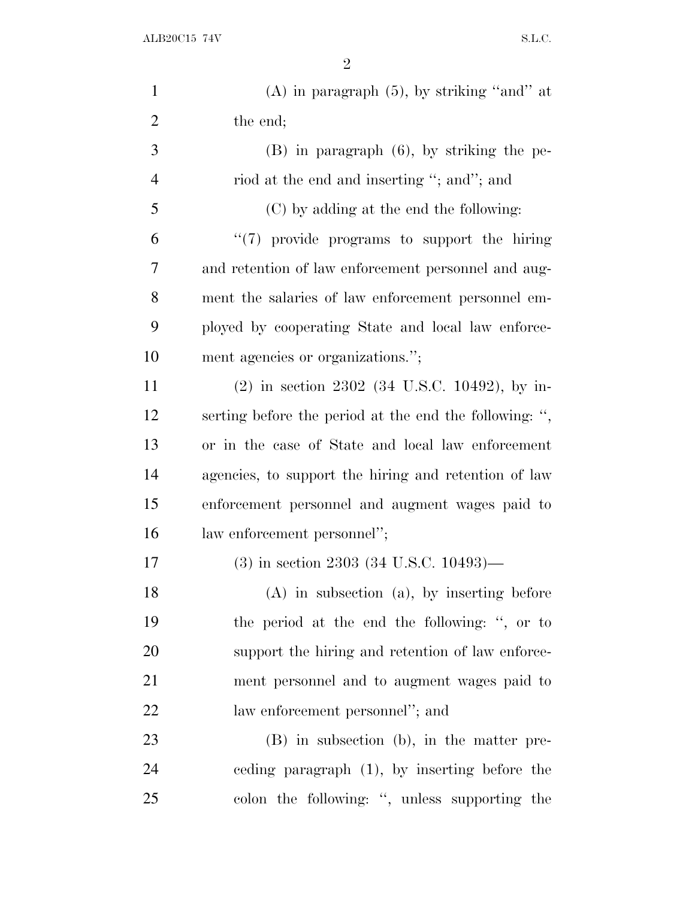$ALB20C15$   $74V$  S.L.C.

| $\mathbf{1}$   | $(A)$ in paragraph $(5)$ , by striking "and" at        |
|----------------|--------------------------------------------------------|
| $\overline{2}$ | the end;                                               |
| 3              | $(B)$ in paragraph $(6)$ , by striking the pe-         |
| $\overline{4}$ | riod at the end and inserting "; and"; and             |
| 5              | (C) by adding at the end the following:                |
| 6              | $\lq(7)$ provide programs to support the hiring        |
| 7              | and retention of law enforcement personnel and aug-    |
| 8              | ment the salaries of law enforcement personnel em-     |
| 9              | ployed by cooperating State and local law enforce-     |
| 10             | ment agencies or organizations.";                      |
| 11             | $(2)$ in section 2302 (34 U.S.C. 10492), by in-        |
| 12             | serting before the period at the end the following: ", |
| 13             | or in the case of State and local law enforcement      |
| 14             | agencies, to support the hiring and retention of law   |
| 15             | enforcement personnel and augment wages paid to        |
| 16             | law enforcement personnel";                            |
| 17             | $(3)$ in section 2303 (34 U.S.C. 10493)—               |
| 18             | $(A)$ in subsection $(a)$ , by inserting before        |
| 19             | the period at the end the following: ", or to          |
| 20             | support the hiring and retention of law enforce-       |
| 21             | ment personnel and to augment wages paid to            |
| 22             | law enforcement personnel"; and                        |
| 23             | $(B)$ in subsection $(b)$ , in the matter pre-         |
| 24             | eeding paragraph $(1)$ , by inserting before the       |
| 25             | colon the following: ", unless supporting the          |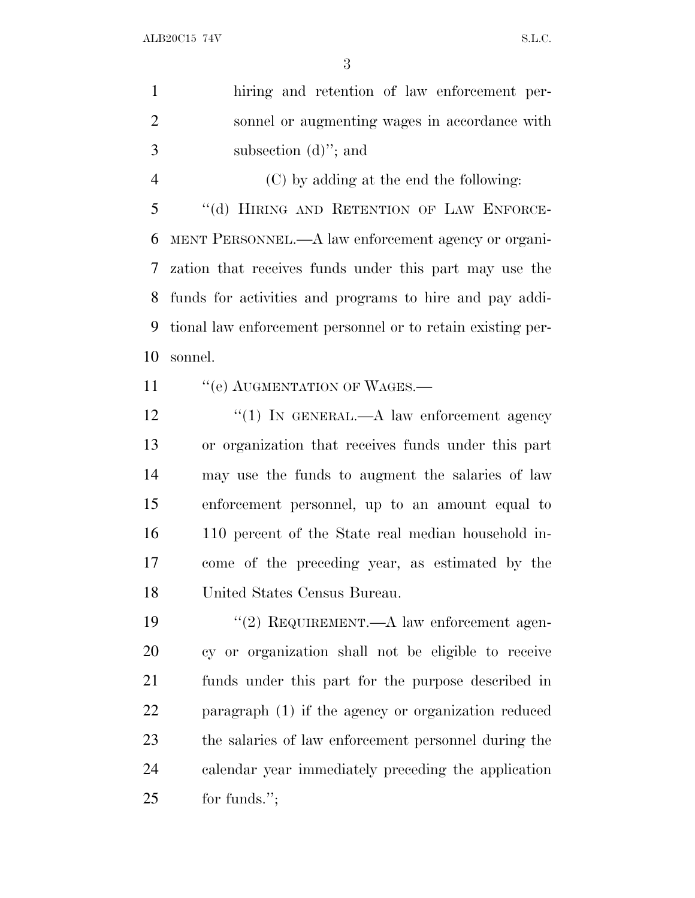|                | 3                                                           |
|----------------|-------------------------------------------------------------|
| $\mathbf{1}$   | hiring and retention of law enforcement per-                |
| $\overline{2}$ | sonnel or augmenting wages in accordance with               |
| 3              | subsection $(d)$ "; and                                     |
| $\overline{4}$ | (C) by adding at the end the following:                     |
| 5              | "(d) HIRING AND RETENTION OF LAW ENFORCE-                   |
| 6              | MENT PERSONNEL.—A law enforcement agency or organi-         |
| $\tau$         | zation that receives funds under this part may use the      |
| 8              | funds for activities and programs to hire and pay addi-     |
| 9              | tional law enforcement personnel or to retain existing per- |
|                |                                                             |
| 10             | sonnel.                                                     |
| 11             | "(e) AUGMENTATION OF WAGES.-                                |
| 12             | " $(1)$ IN GENERAL.—A law enforcement agency                |
|                | or organization that receives funds under this part         |
| 13<br>14       | may use the funds to augment the salaries of law            |
| 15             | enforcement personnel, up to an amount equal to             |
| 16             | 110 percent of the State real median household in-          |
| 17             | come of the preceding year, as estimated by the             |
| 18             | United States Census Bureau.                                |

 cy or organization shall not be eligible to receive funds under this part for the purpose described in paragraph (1) if the agency or organization reduced the salaries of law enforcement personnel during the calendar year immediately preceding the application 25 for funds.";